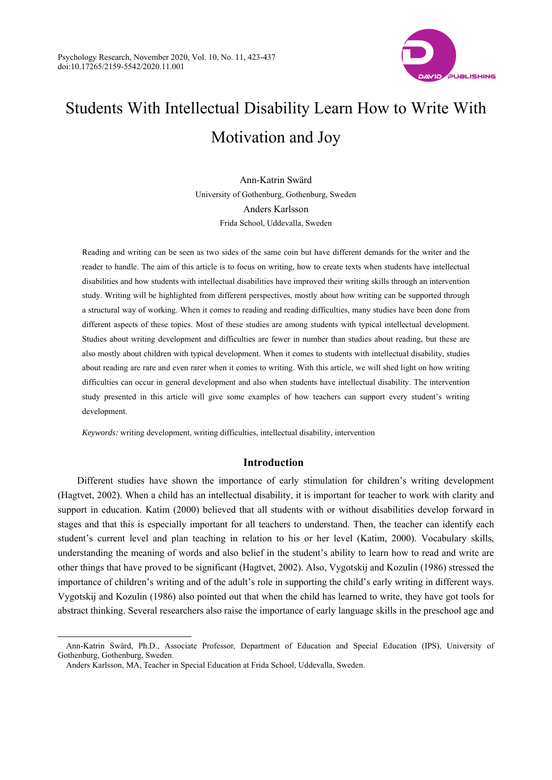

# Students With Intellectual Disability Learn How to Write With Motivation and Joy

Ann-Katrin Swärd University of Gothenburg, Gothenburg, Sweden Anders Karlsson Frida School, Uddevalla, Sweden

Reading and writing can be seen as two sides of the same coin but have different demands for the writer and the reader to handle. The aim of this article is to focus on writing, how to create texts when students have intellectual disabilities and how students with intellectual disabilities have improved their writing skills through an intervention study. Writing will be highlighted from different perspectives, mostly about how writing can be supported through a structural way of working. When it comes to reading and reading difficulties, many studies have been done from different aspects of these topics. Most of these studies are among students with typical intellectual development. Studies about writing development and difficulties are fewer in number than studies about reading, but these are also mostly about children with typical development. When it comes to students with intellectual disability, studies about reading are rare and even rarer when it comes to writing. With this article, we will shed light on how writing difficulties can occur in general development and also when students have intellectual disability. The intervention study presented in this article will give some examples of how teachers can support every student's writing development.

*Keywords:* writing development, writing difficulties, intellectual disability, intervention

# **Introduction**

Different studies have shown the importance of early stimulation for children's writing development (Hagtvet, 2002). When a child has an intellectual disability, it is important for teacher to work with clarity and support in education. Katim (2000) believed that all students with or without disabilities develop forward in stages and that this is especially important for all teachers to understand. Then, the teacher can identify each student's current level and plan teaching in relation to his or her level (Katim, 2000). Vocabulary skills, understanding the meaning of words and also belief in the student's ability to learn how to read and write are other things that have proved to be significant (Hagtvet, 2002). Also, Vygotskij and Kozulin (1986) stressed the importance of children's writing and of the adult's role in supporting the child's early writing in different ways. Vygotskij and Kozulin (1986) also pointed out that when the child has learned to write, they have got tools for abstract thinking. Several researchers also raise the importance of early language skills in the preschool age and

 $\overline{a}$ 

Ann-Katrin Swärd, Ph.D., Associate Professor, Department of Education and Special Education (IPS), University of Gothenburg, Gothenburg, Sweden.

Anders Karlsson, MA, Teacher in Special Education at Frida School, Uddevalla, Sweden.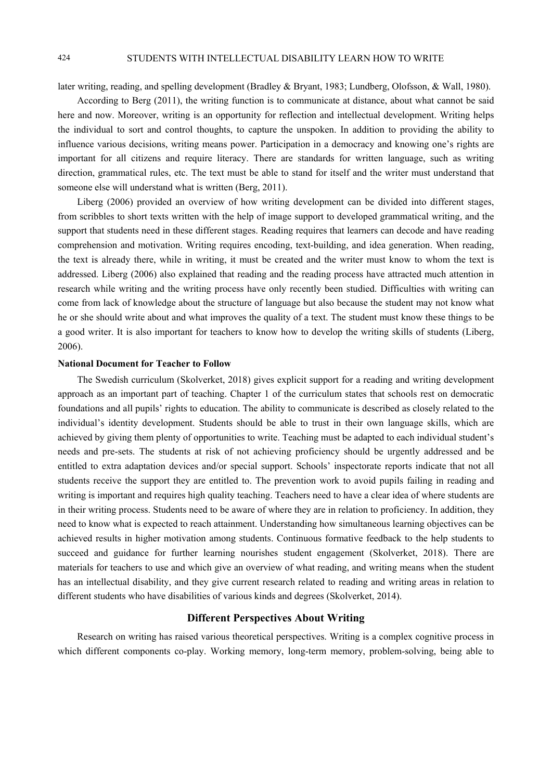# 424 STUDENTS WITH INTELLECTUAL DISABILITY LEARN HOW TO WRITE

later writing, reading, and spelling development (Bradley & Bryant, 1983; Lundberg, Olofsson, & Wall, 1980).

According to Berg (2011), the writing function is to communicate at distance, about what cannot be said here and now. Moreover, writing is an opportunity for reflection and intellectual development. Writing helps the individual to sort and control thoughts, to capture the unspoken. In addition to providing the ability to influence various decisions, writing means power. Participation in a democracy and knowing one's rights are important for all citizens and require literacy. There are standards for written language, such as writing direction, grammatical rules, etc. The text must be able to stand for itself and the writer must understand that someone else will understand what is written (Berg, 2011).

Liberg (2006) provided an overview of how writing development can be divided into different stages, from scribbles to short texts written with the help of image support to developed grammatical writing, and the support that students need in these different stages. Reading requires that learners can decode and have reading comprehension and motivation. Writing requires encoding, text-building, and idea generation. When reading, the text is already there, while in writing, it must be created and the writer must know to whom the text is addressed. Liberg (2006) also explained that reading and the reading process have attracted much attention in research while writing and the writing process have only recently been studied. Difficulties with writing can come from lack of knowledge about the structure of language but also because the student may not know what he or she should write about and what improves the quality of a text. The student must know these things to be a good writer. It is also important for teachers to know how to develop the writing skills of students (Liberg, 2006).

#### **National Document for Teacher to Follow**

The Swedish curriculum (Skolverket, 2018) gives explicit support for a reading and writing development approach as an important part of teaching. Chapter 1 of the curriculum states that schools rest on democratic foundations and all pupils' rights to education. The ability to communicate is described as closely related to the individual's identity development. Students should be able to trust in their own language skills, which are achieved by giving them plenty of opportunities to write. Teaching must be adapted to each individual student's needs and pre-sets. The students at risk of not achieving proficiency should be urgently addressed and be entitled to extra adaptation devices and/or special support. Schools' inspectorate reports indicate that not all students receive the support they are entitled to. The prevention work to avoid pupils failing in reading and writing is important and requires high quality teaching. Teachers need to have a clear idea of where students are in their writing process. Students need to be aware of where they are in relation to proficiency. In addition, they need to know what is expected to reach attainment. Understanding how simultaneous learning objectives can be achieved results in higher motivation among students. Continuous formative feedback to the help students to succeed and guidance for further learning nourishes student engagement (Skolverket, 2018). There are materials for teachers to use and which give an overview of what reading, and writing means when the student has an intellectual disability, and they give current research related to reading and writing areas in relation to different students who have disabilities of various kinds and degrees (Skolverket, 2014).

# **Different Perspectives About Writing**

Research on writing has raised various theoretical perspectives. Writing is a complex cognitive process in which different components co-play. Working memory, long-term memory, problem-solving, being able to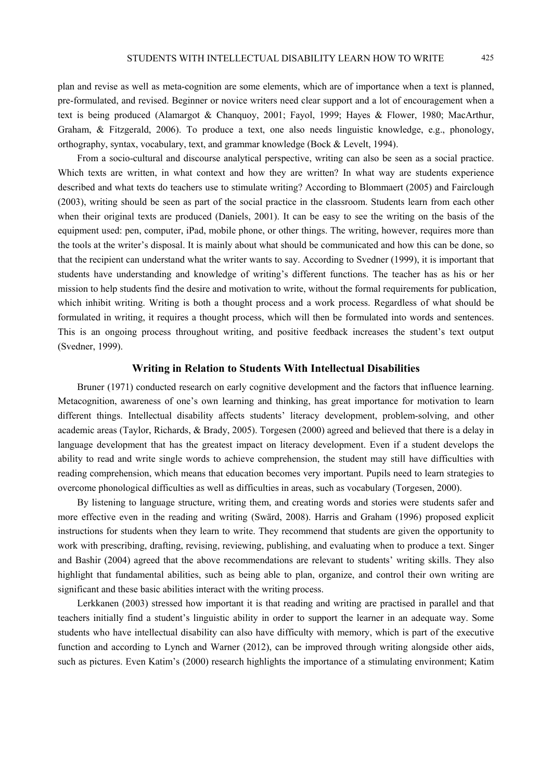plan and revise as well as meta-cognition are some elements, which are of importance when a text is planned, pre-formulated, and revised. Beginner or novice writers need clear support and a lot of encouragement when a text is being produced (Alamargot & Chanquoy, 2001; Fayol, 1999; Hayes & Flower, 1980; MacArthur, Graham, & Fitzgerald, 2006). To produce a text, one also needs linguistic knowledge, e.g., phonology, orthography, syntax, vocabulary, text, and grammar knowledge (Bock & Levelt, 1994).

From a socio-cultural and discourse analytical perspective, writing can also be seen as a social practice. Which texts are written, in what context and how they are written? In what way are students experience described and what texts do teachers use to stimulate writing? According to Blommaert (2005) and Fairclough (2003), writing should be seen as part of the social practice in the classroom. Students learn from each other when their original texts are produced (Daniels, 2001). It can be easy to see the writing on the basis of the equipment used: pen, computer, iPad, mobile phone, or other things. The writing, however, requires more than the tools at the writer's disposal. It is mainly about what should be communicated and how this can be done, so that the recipient can understand what the writer wants to say. According to Svedner (1999), it is important that students have understanding and knowledge of writing's different functions. The teacher has as his or her mission to help students find the desire and motivation to write, without the formal requirements for publication, which inhibit writing. Writing is both a thought process and a work process. Regardless of what should be formulated in writing, it requires a thought process, which will then be formulated into words and sentences. This is an ongoing process throughout writing, and positive feedback increases the student's text output (Svedner, 1999).

#### **Writing in Relation to Students With Intellectual Disabilities**

Bruner (1971) conducted research on early cognitive development and the factors that influence learning. Metacognition, awareness of one's own learning and thinking, has great importance for motivation to learn different things. Intellectual disability affects students' literacy development, problem-solving, and other academic areas (Taylor, Richards, & Brady, 2005). Torgesen (2000) agreed and believed that there is a delay in language development that has the greatest impact on literacy development. Even if a student develops the ability to read and write single words to achieve comprehension, the student may still have difficulties with reading comprehension, which means that education becomes very important. Pupils need to learn strategies to overcome phonological difficulties as well as difficulties in areas, such as vocabulary (Torgesen, 2000).

By listening to language structure, writing them, and creating words and stories were students safer and more effective even in the reading and writing (Swärd, 2008). Harris and Graham (1996) proposed explicit instructions for students when they learn to write. They recommend that students are given the opportunity to work with prescribing, drafting, revising, reviewing, publishing, and evaluating when to produce a text. Singer and Bashir (2004) agreed that the above recommendations are relevant to students' writing skills. They also highlight that fundamental abilities, such as being able to plan, organize, and control their own writing are significant and these basic abilities interact with the writing process.

Lerkkanen (2003) stressed how important it is that reading and writing are practised in parallel and that teachers initially find a student's linguistic ability in order to support the learner in an adequate way. Some students who have intellectual disability can also have difficulty with memory, which is part of the executive function and according to Lynch and Warner (2012), can be improved through writing alongside other aids, such as pictures. Even Katim's (2000) research highlights the importance of a stimulating environment; Katim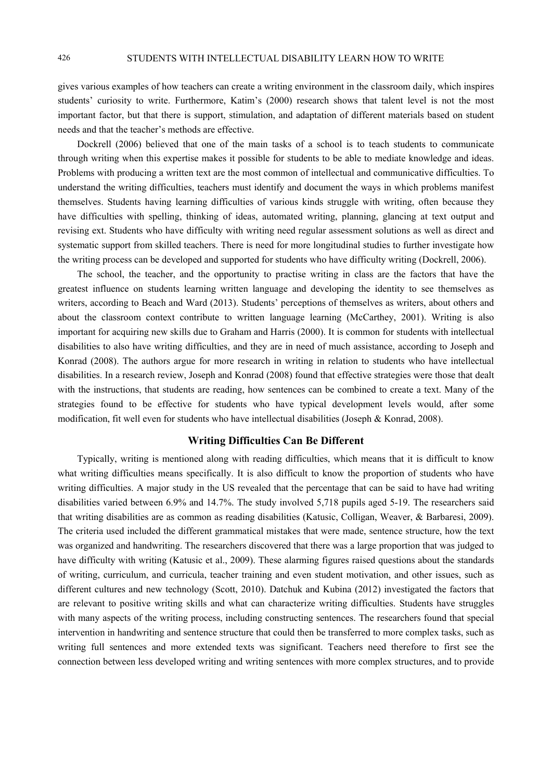gives various examples of how teachers can create a writing environment in the classroom daily, which inspires students' curiosity to write. Furthermore, Katim's (2000) research shows that talent level is not the most important factor, but that there is support, stimulation, and adaptation of different materials based on student needs and that the teacher's methods are effective.

Dockrell (2006) believed that one of the main tasks of a school is to teach students to communicate through writing when this expertise makes it possible for students to be able to mediate knowledge and ideas. Problems with producing a written text are the most common of intellectual and communicative difficulties. To understand the writing difficulties, teachers must identify and document the ways in which problems manifest themselves. Students having learning difficulties of various kinds struggle with writing, often because they have difficulties with spelling, thinking of ideas, automated writing, planning, glancing at text output and revising ext. Students who have difficulty with writing need regular assessment solutions as well as direct and systematic support from skilled teachers. There is need for more longitudinal studies to further investigate how the writing process can be developed and supported for students who have difficulty writing (Dockrell, 2006).

The school, the teacher, and the opportunity to practise writing in class are the factors that have the greatest influence on students learning written language and developing the identity to see themselves as writers, according to Beach and Ward (2013). Students' perceptions of themselves as writers, about others and about the classroom context contribute to written language learning (McCarthey, 2001). Writing is also important for acquiring new skills due to Graham and Harris (2000). It is common for students with intellectual disabilities to also have writing difficulties, and they are in need of much assistance, according to Joseph and Konrad (2008). The authors argue for more research in writing in relation to students who have intellectual disabilities. In a research review, Joseph and Konrad (2008) found that effective strategies were those that dealt with the instructions, that students are reading, how sentences can be combined to create a text. Many of the strategies found to be effective for students who have typical development levels would, after some modification, fit well even for students who have intellectual disabilities (Joseph & Konrad, 2008).

# **Writing Difficulties Can Be Different**

Typically, writing is mentioned along with reading difficulties, which means that it is difficult to know what writing difficulties means specifically. It is also difficult to know the proportion of students who have writing difficulties. A major study in the US revealed that the percentage that can be said to have had writing disabilities varied between 6.9% and 14.7%. The study involved 5,718 pupils aged 5-19. The researchers said that writing disabilities are as common as reading disabilities (Katusic, Colligan, Weaver, & Barbaresi, 2009). The criteria used included the different grammatical mistakes that were made, sentence structure, how the text was organized and handwriting. The researchers discovered that there was a large proportion that was judged to have difficulty with writing (Katusic et al., 2009). These alarming figures raised questions about the standards of writing, curriculum, and curricula, teacher training and even student motivation, and other issues, such as different cultures and new technology (Scott, 2010). Datchuk and Kubina (2012) investigated the factors that are relevant to positive writing skills and what can characterize writing difficulties. Students have struggles with many aspects of the writing process, including constructing sentences. The researchers found that special intervention in handwriting and sentence structure that could then be transferred to more complex tasks, such as writing full sentences and more extended texts was significant. Teachers need therefore to first see the connection between less developed writing and writing sentences with more complex structures, and to provide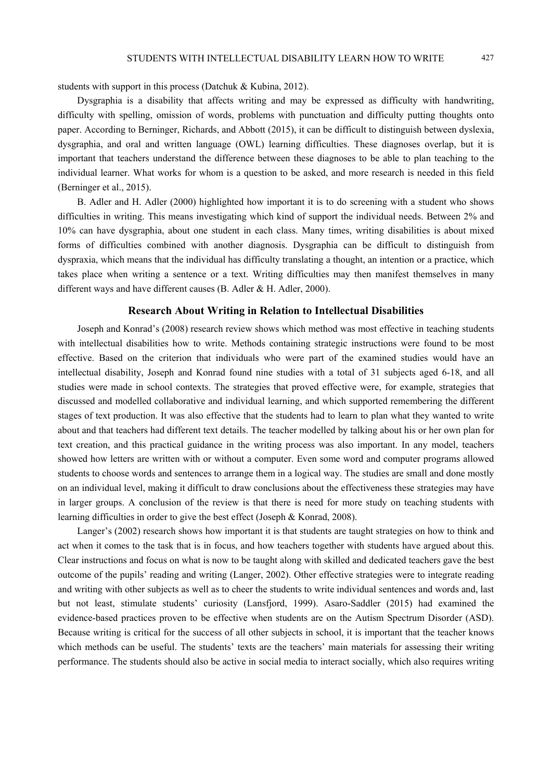students with support in this process (Datchuk & Kubina, 2012).

Dysgraphia is a disability that affects writing and may be expressed as difficulty with handwriting, difficulty with spelling, omission of words, problems with punctuation and difficulty putting thoughts onto paper. According to Berninger, Richards, and Abbott (2015), it can be difficult to distinguish between dyslexia, dysgraphia, and oral and written language (OWL) learning difficulties. These diagnoses overlap, but it is important that teachers understand the difference between these diagnoses to be able to plan teaching to the individual learner. What works for whom is a question to be asked, and more research is needed in this field (Berninger et al., 2015).

B. Adler and H. Adler (2000) highlighted how important it is to do screening with a student who shows difficulties in writing. This means investigating which kind of support the individual needs. Between 2% and 10% can have dysgraphia, about one student in each class. Many times, writing disabilities is about mixed forms of difficulties combined with another diagnosis. Dysgraphia can be difficult to distinguish from dyspraxia, which means that the individual has difficulty translating a thought, an intention or a practice, which takes place when writing a sentence or a text. Writing difficulties may then manifest themselves in many different ways and have different causes (B. Adler & H. Adler, 2000).

### **Research About Writing in Relation to Intellectual Disabilities**

Joseph and Konrad's (2008) research review shows which method was most effective in teaching students with intellectual disabilities how to write. Methods containing strategic instructions were found to be most effective. Based on the criterion that individuals who were part of the examined studies would have an intellectual disability, Joseph and Konrad found nine studies with a total of 31 subjects aged 6-18, and all studies were made in school contexts. The strategies that proved effective were, for example, strategies that discussed and modelled collaborative and individual learning, and which supported remembering the different stages of text production. It was also effective that the students had to learn to plan what they wanted to write about and that teachers had different text details. The teacher modelled by talking about his or her own plan for text creation, and this practical guidance in the writing process was also important. In any model, teachers showed how letters are written with or without a computer. Even some word and computer programs allowed students to choose words and sentences to arrange them in a logical way. The studies are small and done mostly on an individual level, making it difficult to draw conclusions about the effectiveness these strategies may have in larger groups. A conclusion of the review is that there is need for more study on teaching students with learning difficulties in order to give the best effect (Joseph & Konrad, 2008).

Langer's (2002) research shows how important it is that students are taught strategies on how to think and act when it comes to the task that is in focus, and how teachers together with students have argued about this. Clear instructions and focus on what is now to be taught along with skilled and dedicated teachers gave the best outcome of the pupils' reading and writing (Langer, 2002). Other effective strategies were to integrate reading and writing with other subjects as well as to cheer the students to write individual sentences and words and, last but not least, stimulate students' curiosity (Lansfjord, 1999). Asaro-Saddler (2015) had examined the evidence-based practices proven to be effective when students are on the Autism Spectrum Disorder (ASD). Because writing is critical for the success of all other subjects in school, it is important that the teacher knows which methods can be useful. The students' texts are the teachers' main materials for assessing their writing performance. The students should also be active in social media to interact socially, which also requires writing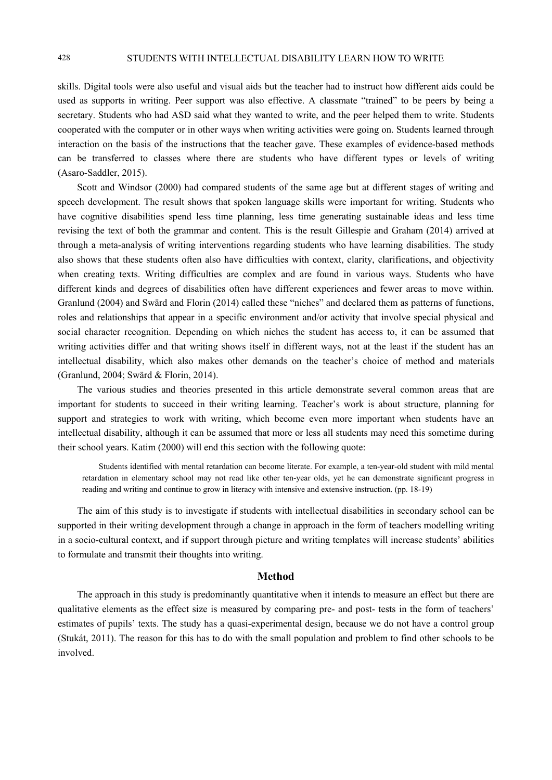skills. Digital tools were also useful and visual aids but the teacher had to instruct how different aids could be used as supports in writing. Peer support was also effective. A classmate "trained" to be peers by being a secretary. Students who had ASD said what they wanted to write, and the peer helped them to write. Students cooperated with the computer or in other ways when writing activities were going on. Students learned through interaction on the basis of the instructions that the teacher gave. These examples of evidence-based methods can be transferred to classes where there are students who have different types or levels of writing (Asaro-Saddler, 2015).

Scott and Windsor (2000) had compared students of the same age but at different stages of writing and speech development. The result shows that spoken language skills were important for writing. Students who have cognitive disabilities spend less time planning, less time generating sustainable ideas and less time revising the text of both the grammar and content. This is the result Gillespie and Graham (2014) arrived at through a meta-analysis of writing interventions regarding students who have learning disabilities. The study also shows that these students often also have difficulties with context, clarity, clarifications, and objectivity when creating texts. Writing difficulties are complex and are found in various ways. Students who have different kinds and degrees of disabilities often have different experiences and fewer areas to move within. Granlund (2004) and Swärd and Florin (2014) called these "niches" and declared them as patterns of functions, roles and relationships that appear in a specific environment and/or activity that involve special physical and social character recognition. Depending on which niches the student has access to, it can be assumed that writing activities differ and that writing shows itself in different ways, not at the least if the student has an intellectual disability, which also makes other demands on the teacher's choice of method and materials (Granlund, 2004; Swärd & Florin, 2014).

The various studies and theories presented in this article demonstrate several common areas that are important for students to succeed in their writing learning. Teacher's work is about structure, planning for support and strategies to work with writing, which become even more important when students have an intellectual disability, although it can be assumed that more or less all students may need this sometime during their school years. Katim (2000) will end this section with the following quote:

Students identified with mental retardation can become literate. For example, a ten-year-old student with mild mental retardation in elementary school may not read like other ten-year olds, yet he can demonstrate significant progress in reading and writing and continue to grow in literacy with intensive and extensive instruction*.* (pp. 18-19)

The aim of this study is to investigate if students with intellectual disabilities in secondary school can be supported in their writing development through a change in approach in the form of teachers modelling writing in a socio-cultural context, and if support through picture and writing templates will increase students' abilities to formulate and transmit their thoughts into writing.

#### **Method**

The approach in this study is predominantly quantitative when it intends to measure an effect but there are qualitative elements as the effect size is measured by comparing pre- and post- tests in the form of teachers' estimates of pupils' texts. The study has a quasi-experimental design, because we do not have a control group (Stukát, 2011). The reason for this has to do with the small population and problem to find other schools to be involved.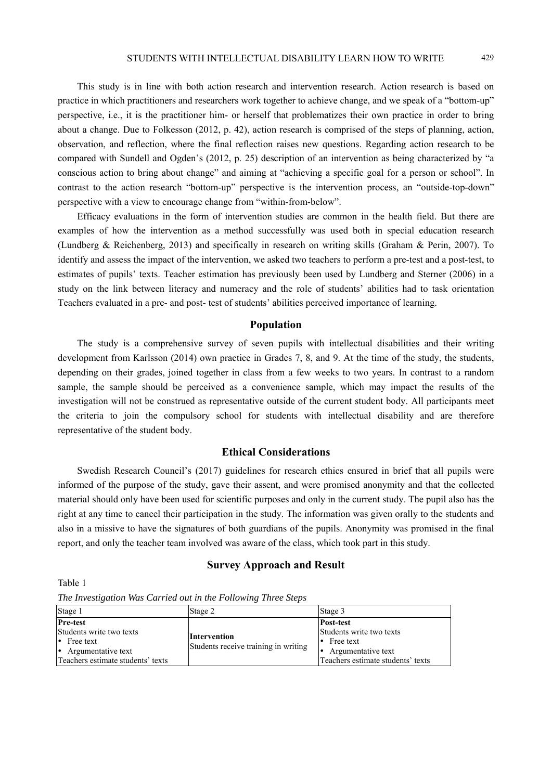This study is in line with both action research and intervention research. Action research is based on practice in which practitioners and researchers work together to achieve change, and we speak of a "bottom-up" perspective, i.e., it is the practitioner him- or herself that problematizes their own practice in order to bring about a change. Due to Folkesson (2012, p. 42), action research is comprised of the steps of planning, action, observation, and reflection, where the final reflection raises new questions. Regarding action research to be compared with Sundell and Ogden's (2012, p. 25) description of an intervention as being characterized by "a conscious action to bring about change" and aiming at "achieving a specific goal for a person or school". In contrast to the action research "bottom-up" perspective is the intervention process, an "outside-top-down" perspective with a view to encourage change from "within-from-below".

Efficacy evaluations in the form of intervention studies are common in the health field. But there are examples of how the intervention as a method successfully was used both in special education research (Lundberg & Reichenberg, 2013) and specifically in research on writing skills (Graham & Perin, 2007). To identify and assess the impact of the intervention, we asked two teachers to perform a pre-test and a post-test, to estimates of pupils' texts. Teacher estimation has previously been used by Lundberg and Sterner (2006) in a study on the link between literacy and numeracy and the role of students' abilities had to task orientation Teachers evaluated in a pre- and post- test of students' abilities perceived importance of learning.

# **Population**

The study is a comprehensive survey of seven pupils with intellectual disabilities and their writing development from Karlsson (2014) own practice in Grades 7, 8, and 9. At the time of the study, the students, depending on their grades, joined together in class from a few weeks to two years. In contrast to a random sample, the sample should be perceived as a convenience sample, which may impact the results of the investigation will not be construed as representative outside of the current student body. All participants meet the criteria to join the compulsory school for students with intellectual disability and are therefore representative of the student body.

# **Ethical Considerations**

Swedish Research Council's (2017) guidelines for research ethics ensured in brief that all pupils were informed of the purpose of the study, gave their assent, and were promised anonymity and that the collected material should only have been used for scientific purposes and only in the current study. The pupil also has the right at any time to cancel their participation in the study. The information was given orally to the students and also in a missive to have the signatures of both guardians of the pupils. Anonymity was promised in the final report, and only the teacher team involved was aware of the class, which took part in this study.

# **Survey Approach and Result**

Table 1

| Stage 1                           | Stage 2                                              | Stage 3                           |
|-----------------------------------|------------------------------------------------------|-----------------------------------|
| <b>Pre-test</b>                   |                                                      | <b>Post-test</b>                  |
| Students write two texts          |                                                      | Students write two texts          |
| $\cdot$ Free text                 | Intervention<br>Students receive training in writing | $\bullet$ Free text               |
| • Argumentative text              |                                                      | • Argumentative text              |
| Teachers estimate students' texts |                                                      | Teachers estimate students' texts |

*The Investigation Was Carried out in the Following Three Steps*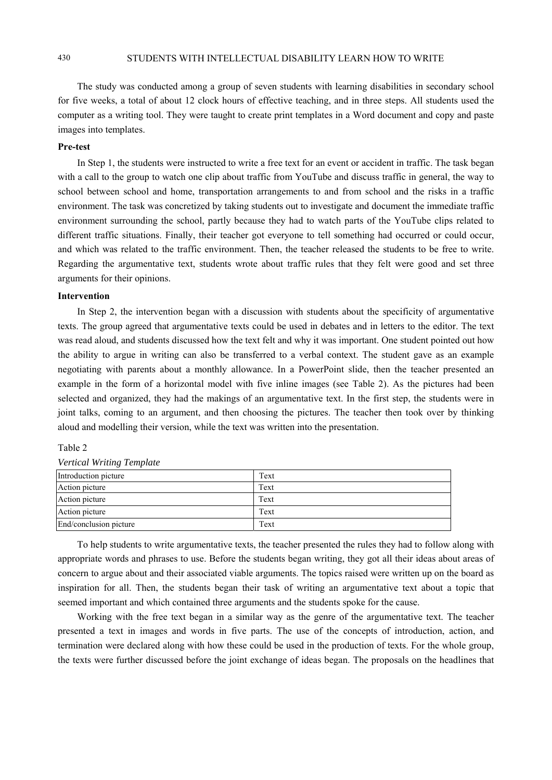# 430 STUDENTS WITH INTELLECTUAL DISABILITY LEARN HOW TO WRITE

The study was conducted among a group of seven students with learning disabilities in secondary school for five weeks, a total of about 12 clock hours of effective teaching, and in three steps. All students used the computer as a writing tool. They were taught to create print templates in a Word document and copy and paste images into templates.

# **Pre-test**

In Step 1, the students were instructed to write a free text for an event or accident in traffic. The task began with a call to the group to watch one clip about traffic from YouTube and discuss traffic in general, the way to school between school and home, transportation arrangements to and from school and the risks in a traffic environment. The task was concretized by taking students out to investigate and document the immediate traffic environment surrounding the school, partly because they had to watch parts of the YouTube clips related to different traffic situations. Finally, their teacher got everyone to tell something had occurred or could occur, and which was related to the traffic environment. Then, the teacher released the students to be free to write. Regarding the argumentative text, students wrote about traffic rules that they felt were good and set three arguments for their opinions.

#### **Intervention**

In Step 2, the intervention began with a discussion with students about the specificity of argumentative texts. The group agreed that argumentative texts could be used in debates and in letters to the editor. The text was read aloud, and students discussed how the text felt and why it was important. One student pointed out how the ability to argue in writing can also be transferred to a verbal context. The student gave as an example negotiating with parents about a monthly allowance. In a PowerPoint slide, then the teacher presented an example in the form of a horizontal model with five inline images (see Table 2). As the pictures had been selected and organized, they had the makings of an argumentative text. In the first step, the students were in joint talks, coming to an argument, and then choosing the pictures. The teacher then took over by thinking aloud and modelling their version, while the text was written into the presentation.

#### Table 2

| $\cdot$                |      |  |  |
|------------------------|------|--|--|
| Introduction picture   | Text |  |  |
| Action picture         | Text |  |  |
| Action picture         | Text |  |  |
| Action picture         | Text |  |  |
| End/conclusion picture | Text |  |  |

*Vertical Writing Template* 

To help students to write argumentative texts, the teacher presented the rules they had to follow along with appropriate words and phrases to use. Before the students began writing, they got all their ideas about areas of concern to argue about and their associated viable arguments. The topics raised were written up on the board as inspiration for all. Then, the students began their task of writing an argumentative text about a topic that seemed important and which contained three arguments and the students spoke for the cause.

Working with the free text began in a similar way as the genre of the argumentative text. The teacher presented a text in images and words in five parts. The use of the concepts of introduction, action, and termination were declared along with how these could be used in the production of texts. For the whole group, the texts were further discussed before the joint exchange of ideas began. The proposals on the headlines that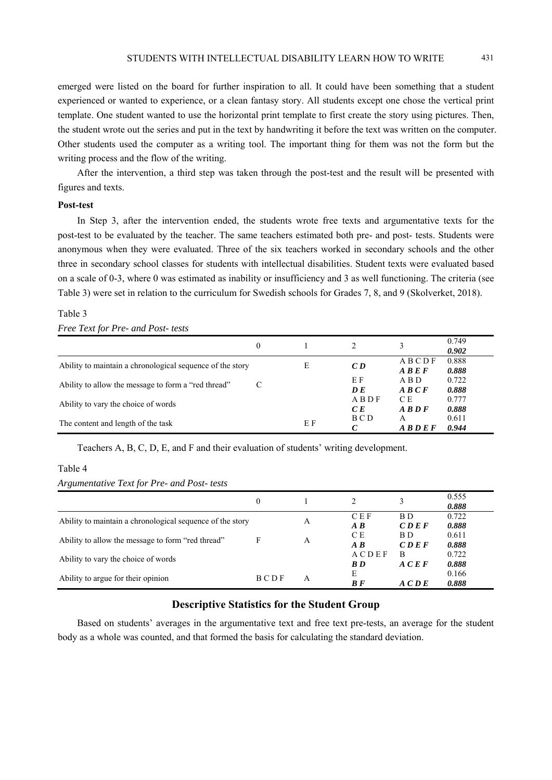emerged were listed on the board for further inspiration to all. It could have been something that a student experienced or wanted to experience, or a clean fantasy story. All students except one chose the vertical print template. One student wanted to use the horizontal print template to first create the story using pictures. Then, the student wrote out the series and put in the text by handwriting it before the text was written on the computer. Other students used the computer as a writing tool. The important thing for them was not the form but the writing process and the flow of the writing.

After the intervention, a third step was taken through the post-test and the result will be presented with figures and texts.

#### **Post-test**

In Step 3, after the intervention ended, the students wrote free texts and argumentative texts for the post-test to be evaluated by the teacher. The same teachers estimated both pre- and post- tests. Students were anonymous when they were evaluated. Three of the six teachers worked in secondary schools and the other three in secondary school classes for students with intellectual disabilities. Student texts were evaluated based on a scale of 0-3, where 0 was estimated as inability or insufficiency and 3 as well functioning. The criteria (see Table 3) were set in relation to the curriculum for Swedish schools for Grades 7, 8, and 9 (Skolverket, 2018).

# Table 3

#### *Free Text for Pre- and Post- tests*

|                                                           | $\mathbf{0}$ |    |                   |                                                                            | 0.749<br>0.902 |
|-----------------------------------------------------------|--------------|----|-------------------|----------------------------------------------------------------------------|----------------|
| Ability to maintain a chronological sequence of the story |              | Е  | CD                | ABCDF                                                                      | 0.888          |
|                                                           |              |    | ΕF                | $\overline{A}$ $\overline{B}$ $\overline{E}$ $\overline{F}$<br>A B D       | 0.888<br>0.722 |
| Ability to allow the message to form a "red thread"       | C            |    | DE                | $\overline{A}$ $\overline{B}$ $\overline{C}$ $\overline{F}$                | 0.888          |
| Ability to vary the choice of words                       |              |    | ABDF<br>CE        | C E<br>$\overline{AB}$                                                     | 0.777<br>0.888 |
| The content and length of the task                        |              | ΕF | B C D             | A                                                                          | 0.611          |
|                                                           |              |    | $\mathcal{C}_{0}$ | $\overline{A}$ $\overline{B}$ $\overline{D}$ $\overline{E}$ $\overline{F}$ | 0.944          |

Teachers A, B, C, D, E, and F and their evaluation of students' writing development.

#### Table 4

# *Argumentative Text for Pre- and Post- tests*

|                                                           | 0    |   |                                       |              | 0.555<br>0.888 |
|-----------------------------------------------------------|------|---|---------------------------------------|--------------|----------------|
| Ability to maintain a chronological sequence of the story |      | A | <b>CEF</b><br>$\mathbf{A} \mathbf{B}$ | BD.<br>CDEF  | 0.722<br>0.888 |
| Ability to allow the message to form "red thread"         | F    | A | C E<br>$\overline{AB}$                | BD.<br>CDEF  | 0.611<br>0.888 |
| Ability to vary the choice of words                       |      |   | ACDEF<br>B D                          | B<br>A C E F | 0.722<br>0.888 |
| Ability to argue for their opinion                        | BCDF | A | E<br>$B$ $F$                          | ACDE         | 0.166<br>0.888 |

# **Descriptive Statistics for the Student Group**

Based on students' averages in the argumentative text and free text pre-tests, an average for the student body as a whole was counted, and that formed the basis for calculating the standard deviation.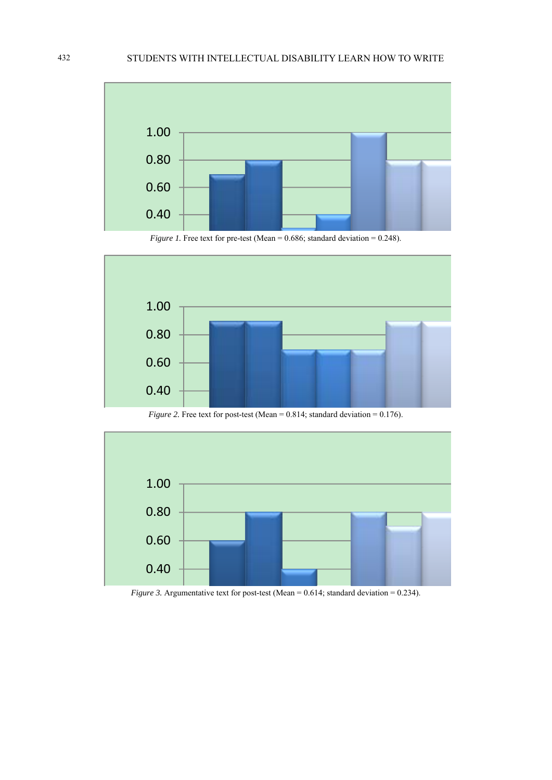





*Figure 2.* Free text for post-test (Mean =  $0.814$ ; standard deviation =  $0.176$ ).



*Figure 3.* Argumentative text for post-test (Mean = 0.614; standard deviation = 0.234).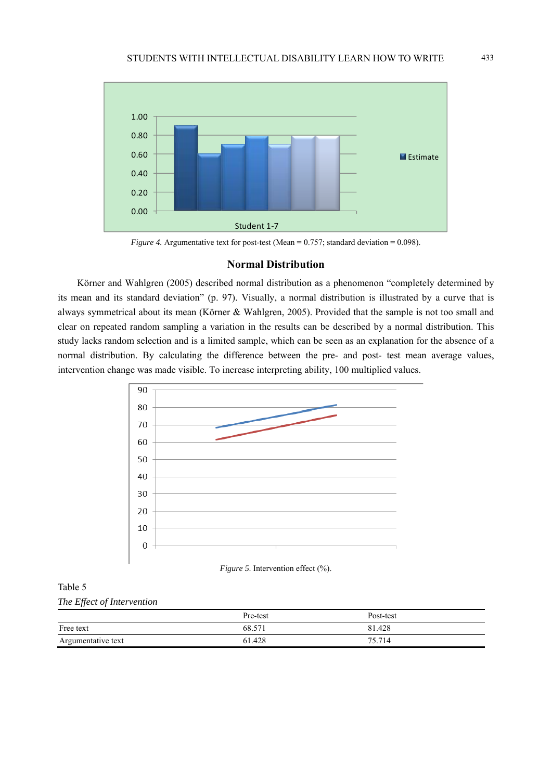

*Figure 4.* Argumentative text for post-test (Mean =  $0.757$ ; standard deviation =  $0.098$ ).

# **Normal Distribution**

Körner and Wahlgren (2005) described normal distribution as a phenomenon "completely determined by its mean and its standard deviation" (p. 97). Visually, a normal distribution is illustrated by a curve that is always symmetrical about its mean (Körner & Wahlgren, 2005). Provided that the sample is not too small and clear on repeated random sampling a variation in the results can be described by a normal distribution. This study lacks random selection and is a limited sample, which can be seen as an explanation for the absence of a normal distribution. By calculating the difference between the pre- and post- test mean average values, intervention change was made visible. To increase interpreting ability, 100 multiplied values.





# Table 5

*The Effect of Intervention* 

|                    | Pre-test | Post-test |
|--------------------|----------|-----------|
| Free text          | 68.571   | 81.428    |
| Argumentative text | 61.428   | 75.714    |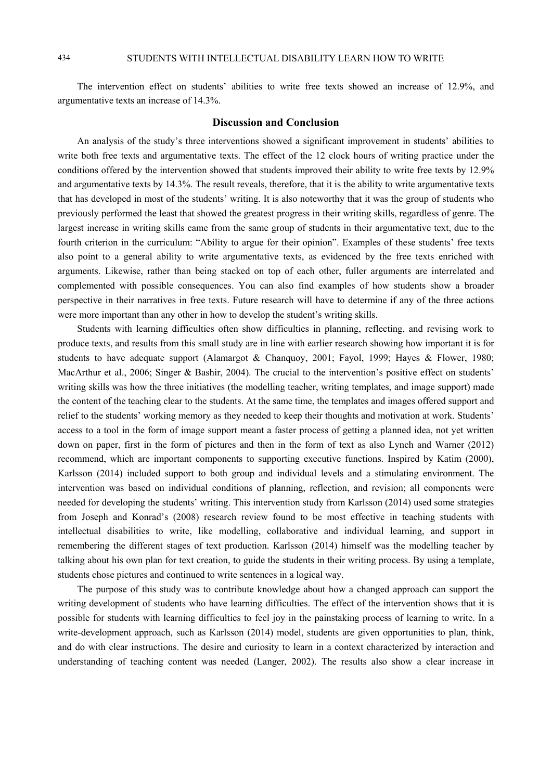The intervention effect on students' abilities to write free texts showed an increase of 12.9%, and argumentative texts an increase of 14.3%.

# **Discussion and Conclusion**

An analysis of the study's three interventions showed a significant improvement in students' abilities to write both free texts and argumentative texts. The effect of the 12 clock hours of writing practice under the conditions offered by the intervention showed that students improved their ability to write free texts by 12.9% and argumentative texts by 14.3%. The result reveals, therefore, that it is the ability to write argumentative texts that has developed in most of the students' writing. It is also noteworthy that it was the group of students who previously performed the least that showed the greatest progress in their writing skills, regardless of genre. The largest increase in writing skills came from the same group of students in their argumentative text, due to the fourth criterion in the curriculum: "Ability to argue for their opinion". Examples of these students' free texts also point to a general ability to write argumentative texts, as evidenced by the free texts enriched with arguments. Likewise, rather than being stacked on top of each other, fuller arguments are interrelated and complemented with possible consequences. You can also find examples of how students show a broader perspective in their narratives in free texts. Future research will have to determine if any of the three actions were more important than any other in how to develop the student's writing skills.

Students with learning difficulties often show difficulties in planning, reflecting, and revising work to produce texts, and results from this small study are in line with earlier research showing how important it is for students to have adequate support (Alamargot & Chanquoy, 2001; Fayol, 1999; Hayes & Flower, 1980; MacArthur et al., 2006; Singer & Bashir, 2004). The crucial to the intervention's positive effect on students' writing skills was how the three initiatives (the modelling teacher, writing templates, and image support) made the content of the teaching clear to the students. At the same time, the templates and images offered support and relief to the students' working memory as they needed to keep their thoughts and motivation at work. Students' access to a tool in the form of image support meant a faster process of getting a planned idea, not yet written down on paper, first in the form of pictures and then in the form of text as also Lynch and Warner (2012) recommend, which are important components to supporting executive functions. Inspired by Katim (2000), Karlsson (2014) included support to both group and individual levels and a stimulating environment. The intervention was based on individual conditions of planning, reflection, and revision; all components were needed for developing the students' writing. This intervention study from Karlsson (2014) used some strategies from Joseph and Konrad's (2008) research review found to be most effective in teaching students with intellectual disabilities to write, like modelling, collaborative and individual learning, and support in remembering the different stages of text production. Karlsson (2014) himself was the modelling teacher by talking about his own plan for text creation, to guide the students in their writing process. By using a template, students chose pictures and continued to write sentences in a logical way.

The purpose of this study was to contribute knowledge about how a changed approach can support the writing development of students who have learning difficulties. The effect of the intervention shows that it is possible for students with learning difficulties to feel joy in the painstaking process of learning to write. In a write-development approach, such as Karlsson (2014) model, students are given opportunities to plan, think, and do with clear instructions. The desire and curiosity to learn in a context characterized by interaction and understanding of teaching content was needed (Langer, 2002). The results also show a clear increase in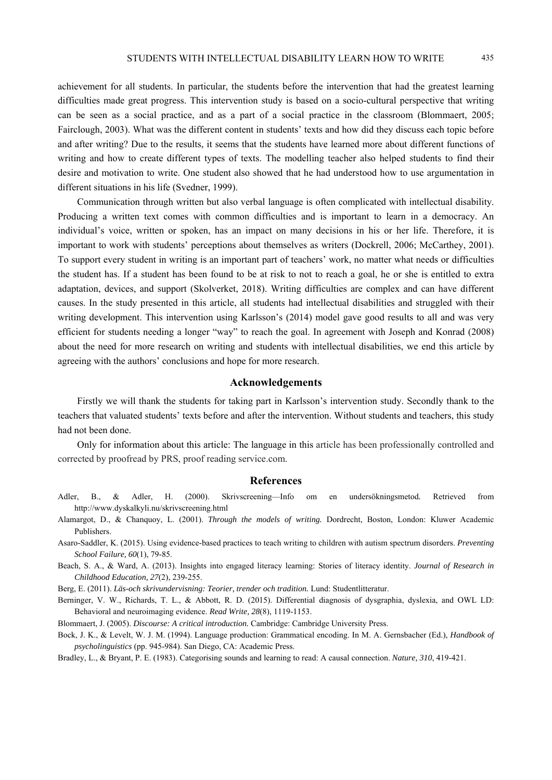achievement for all students. In particular, the students before the intervention that had the greatest learning difficulties made great progress. This intervention study is based on a socio-cultural perspective that writing can be seen as a social practice, and as a part of a social practice in the classroom (Blommaert, 2005; Fairclough, 2003). What was the different content in students' texts and how did they discuss each topic before and after writing? Due to the results, it seems that the students have learned more about different functions of writing and how to create different types of texts. The modelling teacher also helped students to find their desire and motivation to write. One student also showed that he had understood how to use argumentation in different situations in his life (Svedner, 1999).

Communication through written but also verbal language is often complicated with intellectual disability. Producing a written text comes with common difficulties and is important to learn in a democracy. An individual's voice, written or spoken, has an impact on many decisions in his or her life. Therefore, it is important to work with students' perceptions about themselves as writers (Dockrell, 2006; McCarthey, 2001). To support every student in writing is an important part of teachers' work, no matter what needs or difficulties the student has. If a student has been found to be at risk to not to reach a goal, he or she is entitled to extra adaptation, devices, and support (Skolverket, 2018). Writing difficulties are complex and can have different causes. In the study presented in this article, all students had intellectual disabilities and struggled with their writing development. This intervention using Karlsson's (2014) model gave good results to all and was very efficient for students needing a longer "way" to reach the goal. In agreement with Joseph and Konrad (2008) about the need for more research on writing and students with intellectual disabilities, we end this article by agreeing with the authors' conclusions and hope for more research.

# **Acknowledgements**

Firstly we will thank the students for taking part in Karlsson's intervention study. Secondly thank to the teachers that valuated students' texts before and after the intervention. Without students and teachers, this study had not been done.

Only for information about this article: The language in this article has been professionally controlled and corrected by proofread by PRS, proof reading service.com.

# **References**

- Adler, B., & Adler, H. (2000). Skrivscreening—Info om en undersökningsmetod*.* Retrieved from http://www.dyskalkyli.nu/skrivscreening.html
- Alamargot, D., & Chanquoy, L. (2001). *Through the models of writing.* Dordrecht, Boston, London: Kluwer Academic Publishers.
- Asaro-Saddler, K. (2015). Using evidence-based practices to teach writing to children with autism spectrum disorders. *Preventing School Failure, 60*(1), 79-85.
- Beach, S. A., & Ward, A. (2013). Insights into engaged literacy learning: Stories of literacy identity. *Journal of Research in Childhood Education, 27*(2), 239-255.

Berg, E. (2011). *Läs-och skrivundervisning: Teorier, trender och tradition.* Lund: Studentlitteratur.

Berninger, V. W., Richards, T. L., & Abbott, R. D. (2015). Differential diagnosis of dysgraphia, dyslexia, and OWL LD: Behavioral and neuroimaging evidence. *Read Write, 28*(8), 1119-1153.

Blommaert, J. (2005). *Discourse: A critical introduction.* Cambridge: Cambridge University Press.

Bock, J. K., & Levelt, W. J. M. (1994). Language production: Grammatical encoding. In M. A. Gernsbacher (Ed.), *Handbook of psycholinguistics* (pp. 945-984). San Diego, CA: Academic Press.

Bradley, L., & Bryant, P. E. (1983). Categorising sounds and learning to read: A causal connection. *Nature, 310*, 419-421.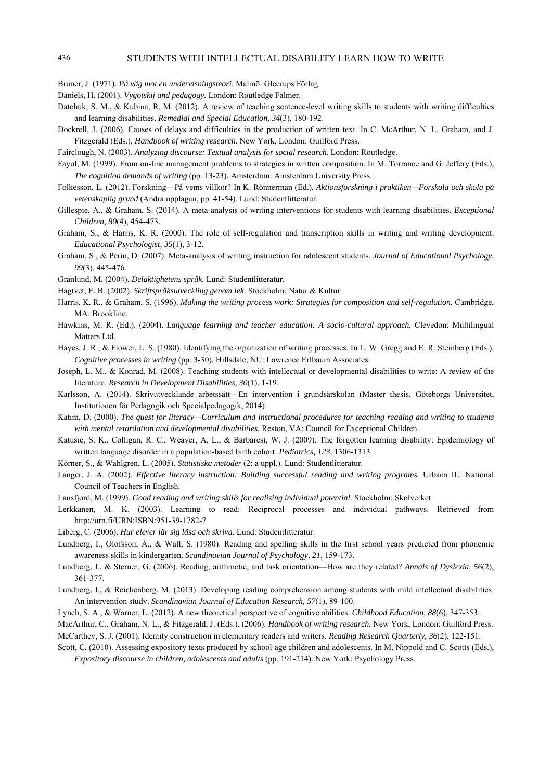# 436 STUDENTS WITH INTELLECTUAL DISABILITY LEARN HOW TO WRITE

Bruner, J. (1971). *På väg mot en undervisningsteori*. Malmö: Gleerups Förlag.

Daniels, H. (2001). *Vygotskij and pedagogy.* London: Routledge Falmer.

- Datchuk, S. M., & Kubina, R. M. (2012). A review of teaching sentence-level writing skills to students with writing difficulties and learning disabilities. *Remedial and Special Education, 34*(3), 180-192.
- Dockrell, J. (2006). Causes of delays and difficulties in the production of written text. In C. McArthur, N. L. Graham, and J. Fitzgerald (Eds.), *Handbook of writing research.* New York, London: Guilford Press.

Fairclough, N. (2003). *Analyzing discourse: Textual analysis for social research.* London: Routledge.

- Fayol, M. (1999). From on-line management problems to strategies in written composition. In M. Torrance and G. Jeffery (Eds.), *The cognition demands of writing* (pp. 13-23)*.* Amsterdam: Amsterdam University Press.
- Folkesson, L. (2012). Forskning—På vems villkor? In K. Rönnerman (Ed.), *Aktionsforskning i praktiken—Förskola och skola på vetenskaplig grund* (Andra upplagan, pp. 41-54). Lund: Studentlitteratur.
- Gillespie, A., & Graham, S. (2014). A meta-analysis of writing interventions for students with learning disabilities. *Exceptional Children, 80*(4), 454-473.
- Graham, S., & Harris, K. R. (2000). The role of self-regulation and transcription skills in writing and writing development. *Educational Psychologist, 35*(1), 3-12.
- Graham, S., & Perin, D. (2007). Meta-analysis of writing instruction for adolescent students. *Journal of Educational Psychology, 99*(3), 445-476.

Granlund, M. (2004). *Delaktighetens språk.* Lund: Studentlitteratur.

- Hagtvet, E. B. (2002). *Skriftspråksutveckling genom lek.* Stockholm: Natur & Kultur.
- Harris, K. R., & Graham, S. (1996). *Making the writing process work: Strategies for composition and self-regulation.* Cambridge, MA: Brookline.
- Hawkins, M. R. (Ed.). (2004). *Language learning and teacher education: A socio-cultural approach.* Clevedon: Multilingual Matters Ltd.
- Hayes, J. R., & Flower, L. S. (1980). Identifying the organization of writing processes. In L. W. Gregg and E. R. Steinberg (Eds.), *Cognitive processes in writing* (pp. 3-30)*.* Hillsdale, NU: Lawrence Erlbaum Associates.
- Joseph, L. M., & Konrad, M. (2008). Teaching students with intellectual or developmental disabilities to write: A review of the literature. *Research in Development Disabilities, 30*(1), 1-19.
- Karlsson, A. (2014). Skrivutvecklande arbetssätt—En intervention i grundsärskolan (Master thesis, Göteborgs Universitet, Institutionen för Pedagogik och Specialpedagogik, 2014).
- Katim, D. (2000). *The quest for literacy—Curriculum and instructional procedures for teaching reading and writing to students with mental retardation and developmental disabilities.* Reston, VA: Council for Exceptional Children.
- Katusic, S. K., Colligan, R. C., Weaver, A. L., & Barbaresi, W. J. (2009). The forgotten learning disability: Epidemiology of written language disorder in a population-based birth cohort. *Pediatrics, 123*, 1306-1313.
- Körner, S., & Wahlgren, L. (2005). *Statistiska metoder* (2: a uppl.). Lund: Studentlitteratur.
- Langer, J. A. (2002). *Effective literacy instruction: Building successful reading and writing programs.* Urbana IL: National Council of Teachers in English.
- Lansfjord, M. (1999). *Good reading and writing skills for realizing individual potential.* Stockholm: Skolverket.
- Lerkkanen, M. K. (2003). Learning to read: Reciprocal processes and individual pathways. Retrieved from http://urn.fi/URN:ISBN:951-39-1782-7
- Liberg, C. (2006). *Hur elever lär sig läsa och skriva*. Lund: Studentlitteratur.
- Lundberg, I., Olofsson, Å., & Wall, S. (1980). Reading and spelling skills in the first school years predicted from phonemic awareness skills in kindergarten. *Scandinavian Journal of Psychology, 21*, 159-173.
- Lundberg, I., & Sterner, G. (2006). Reading, arithmetic, and task orientation—How are they related? *Annals of Dyslexia, 56*(2), 361-377.
- Lundberg, I., & Reichenberg, M. (2013). Developing reading comprehension among students with mild intellectual disabilities: An intervention study. *Scandinavian Journal of Education Research, 57*(1), 89-100.
- Lynch, S. A., & Warner, L. (2012). A new theoretical perspective of cognitive abilities. *Childhood Education, 88*(6), 347-353.
- MacArthur, C., Graham, N. L., & Fitzgerald, J. (Eds.). (2006). *Handbook of writing research.* New York, London: Guilford Press. McCarthey, S. J. (2001). Identity construction in elementary readers and writers. *Reading Research Quarterly, 36*(2), 122-151.
- Scott, C. (2010). Assessing expository texts produced by school-age children and adolescents. In M. Nippold and C. Scotts (Eds.), *Expository discourse in children, adolescents and adults* (pp. 191-214). New York: Psychology Press.